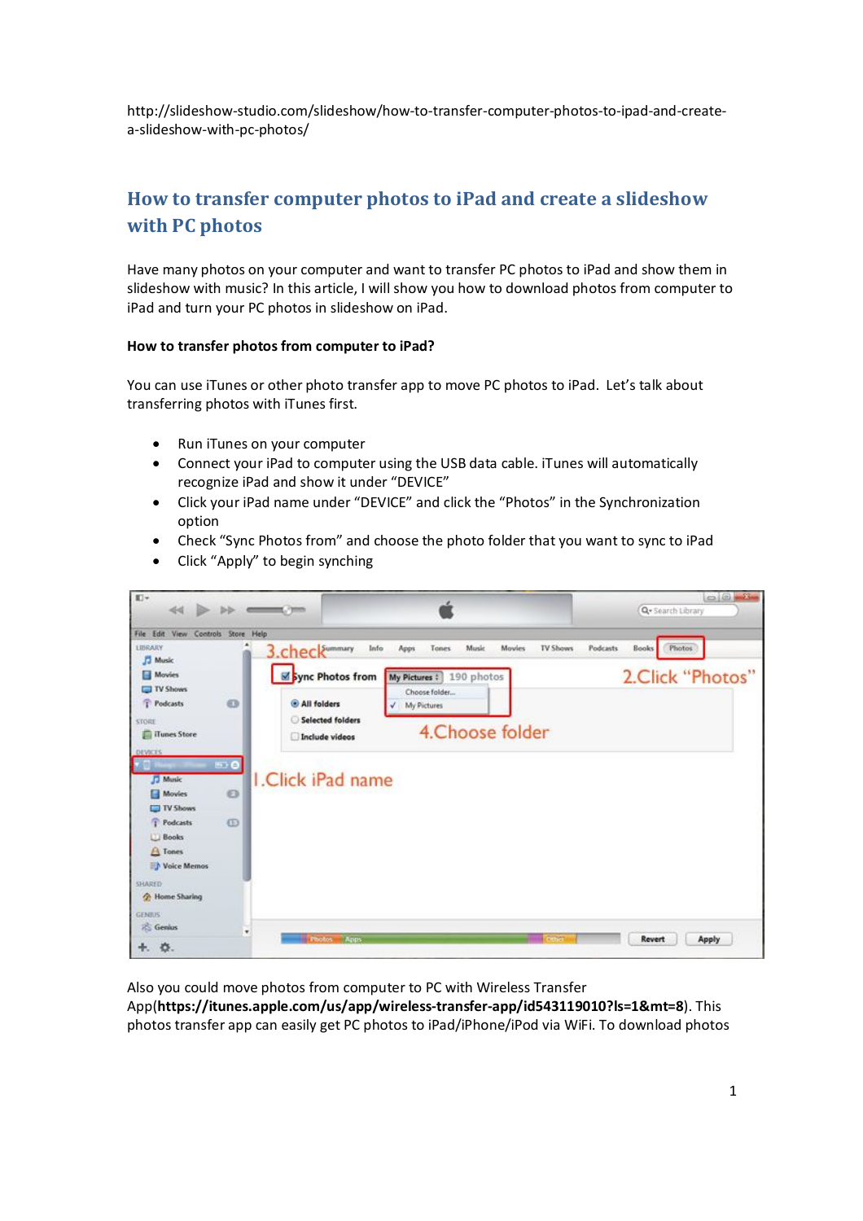http://slideshow-studio.com/slideshow/how-to-transfer-computer-photos-to-ipad-and-createa-slideshow-with-pc-photos/

## **How to transfer computer photos to iPad and create a slideshow with PC photos**

Have many photos on your computer and want to transfer PC photos to iPad and show them in slideshow with music? In this article, I will show you how to download photos from computer to iPad and turn your PC photos in slideshow on iPad.

## **How to transfer photos from computer to iPad?**

You can use iTunes or other photo transfer app to move PC photos to iPad. Let's talk about transferring photos with iTunes first.

- Run iTunes on your computer
- Connect your iPad to computer using the USB data cable. iTunes will automatically recognize iPad and show it under "DEVICE"
- Click your iPad name under "DEVICE" and click the "Photos" in the Synchronization option
- Check "Sync Photos from" and choose the photo folder that you want to sync to iPad



• Click "Apply" to begin synching

Also you could move photos from computer to PC with Wireless Transfer

App(**https://itunes.apple.com/us/app/wireless-transfer-app/id543119010?ls=1&mt=8**). This photos transfer app can easily get PC photos to iPad/iPhone/iPod via WiFi. To download photos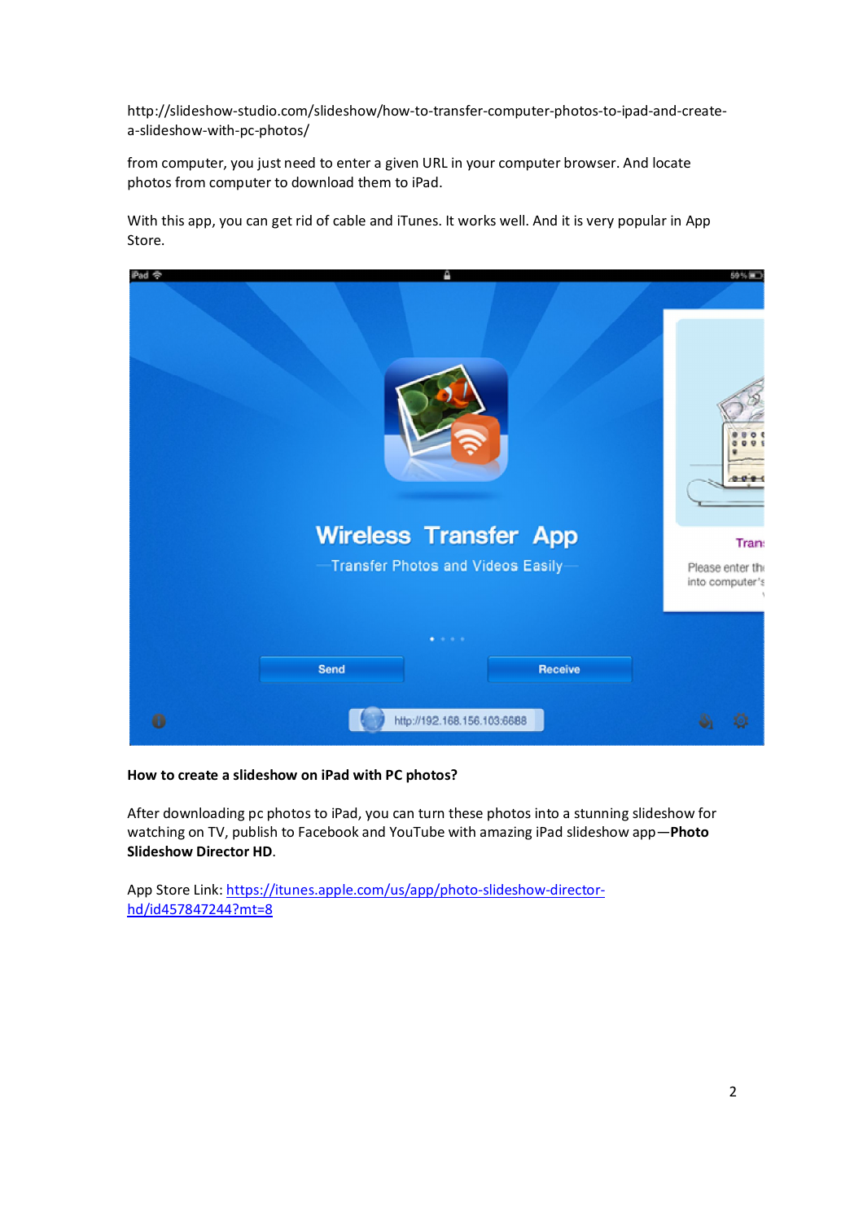http://slideshow-studio.com/slideshow/how-to-transfer-computer-photos-to-ipad-and-createa-slideshow-with-pc-photos/

from computer, you just need to enter a given URL in your computer browser. And locate photos from computer to download them to iPad.

With this app, you can get rid of cable and iTunes. It works well. And it is very popular in App Store.



## **How to create a slideshow on iPad with PC photos?**

After downloading pc photos to iPad, you can turn these photos into a stunning slideshow for watching on TV, publish to Facebook and YouTube with amazing iPad slideshow app—**Photo Slideshow Director HD**.

App Store Link: https://itunes.apple.com/us/app/photo-slideshow-directorhd/id457847244?mt=8